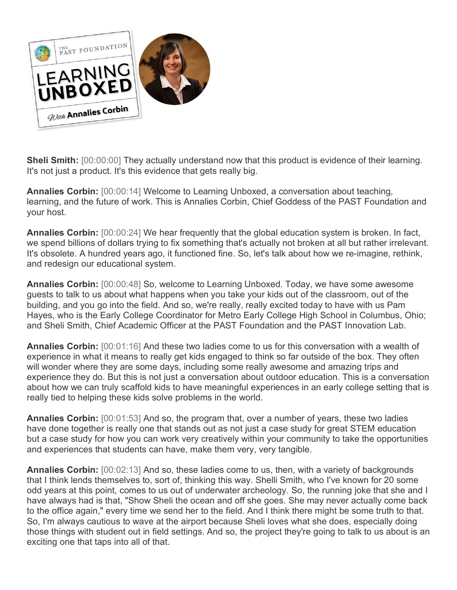

**Sheli Smith:** [00:00:00] They actually understand now that this product is evidence of their learning. It's not just a product. It's this evidence that gets really big.

**Annalies Corbin:** [00:00:14] Welcome to Learning Unboxed, a conversation about teaching, learning, and the future of work. This is Annalies Corbin, Chief Goddess of the PAST Foundation and your host.

**Annalies Corbin:** [00:00:24] We hear frequently that the global education system is broken. In fact, we spend billions of dollars trying to fix something that's actually not broken at all but rather irrelevant. It's obsolete. A hundred years ago, it functioned fine. So, let's talk about how we re-imagine, rethink, and redesign our educational system.

**Annalies Corbin:** [00:00:48] So, welcome to Learning Unboxed. Today, we have some awesome guests to talk to us about what happens when you take your kids out of the classroom, out of the building, and you go into the field. And so, we're really, really excited today to have with us Pam Hayes, who is the Early College Coordinator for Metro Early College High School in Columbus, Ohio; and Sheli Smith, Chief Academic Officer at the PAST Foundation and the PAST Innovation Lab.

**Annalies Corbin:** [00:01:16] And these two ladies come to us for this conversation with a wealth of experience in what it means to really get kids engaged to think so far outside of the box. They often will wonder where they are some days, including some really awesome and amazing trips and experience they do. But this is not just a conversation about outdoor education. This is a conversation about how we can truly scaffold kids to have meaningful experiences in an early college setting that is really tied to helping these kids solve problems in the world.

**Annalies Corbin:** [00:01:53] And so, the program that, over a number of years, these two ladies have done together is really one that stands out as not just a case study for great STEM education but a case study for how you can work very creatively within your community to take the opportunities and experiences that students can have, make them very, very tangible.

**Annalies Corbin:** [00:02:13] And so, these ladies come to us, then, with a variety of backgrounds that I think lends themselves to, sort of, thinking this way. Shelli Smith, who I've known for 20 some odd years at this point, comes to us out of underwater archeology. So, the running joke that she and I have always had is that, "Show Sheli the ocean and off she goes. She may never actually come back to the office again," every time we send her to the field. And I think there might be some truth to that. So, I'm always cautious to wave at the airport because Sheli loves what she does, especially doing those things with student out in field settings. And so, the project they're going to talk to us about is an exciting one that taps into all of that.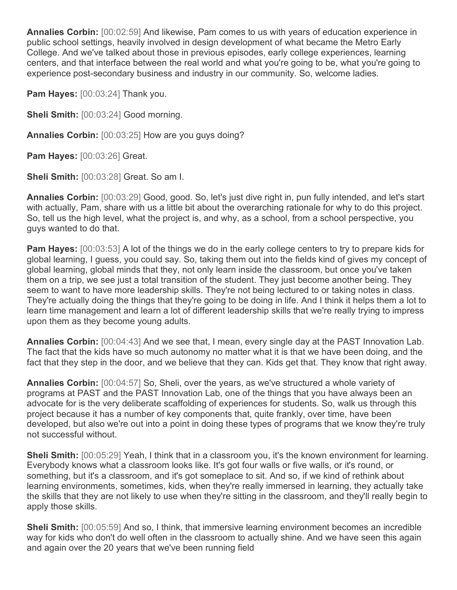**Annalies Corbin:** [00:02:59] And likewise, Pam comes to us with years of education experience in public school settings, heavily involved in design development of what became the Metro Early College. And we've talked about those in previous episodes, early college experiences, learning centers, and that interface between the real world and what you're going to be, what you're going to experience post-secondary business and industry in our community. So, welcome ladies.

**Pam Hayes:** [00:03:24] Thank you.

**Sheli Smith:** [00:03:24] Good morning.

**Annalies Corbin:** [00:03:25] How are you guys doing?

**Pam Hayes:** [00:03:26] Great.

**Sheli Smith:** [00:03:28] Great. So am I.

**Annalies Corbin:** [00:03:29] Good, good. So, let's just dive right in, pun fully intended, and let's start with actually, Pam, share with us a little bit about the overarching rationale for why to do this project. So, tell us the high level, what the project is, and why, as a school, from a school perspective, you guys wanted to do that.

**Pam Hayes:**  $[00:03:53]$  A lot of the things we do in the early college centers to try to prepare kids for global learning, I guess, you could say. So, taking them out into the fields kind of gives my concept of global learning, global minds that they, not only learn inside the classroom, but once you've taken them on a trip, we see just a total transition of the student. They just become another being. They seem to want to have more leadership skills. They're not being lectured to or taking notes in class. They're actually doing the things that they're going to be doing in life. And I think it helps them a lot to learn time management and learn a lot of different leadership skills that we're really trying to impress upon them as they become young adults.

**Annalies Corbin:** [00:04:43] And we see that, I mean, every single day at the PAST Innovation Lab. The fact that the kids have so much autonomy no matter what it is that we have been doing, and the fact that they step in the door, and we believe that they can. Kids get that. They know that right away.

**Annalies Corbin:** [00:04:57] So, Sheli, over the years, as we've structured a whole variety of programs at PAST and the PAST Innovation Lab, one of the things that you have always been an advocate for is the very deliberate scaffolding of experiences for students. So, walk us through this project because it has a number of key components that, quite frankly, over time, have been developed, but also we're out into a point in doing these types of programs that we know they're truly not successful without.

**Sheli Smith:** [00:05:29] Yeah, I think that in a classroom you, it's the known environment for learning. Everybody knows what a classroom looks like. It's got four walls or five walls, or it's round, or something, but it's a classroom, and it's got someplace to sit. And so, if we kind of rethink about learning environments, sometimes, kids, when they're really immersed in learning, they actually take the skills that they are not likely to use when they're sitting in the classroom, and they'll really begin to apply those skills.

**Sheli Smith:** [00:05:59] And so, I think, that immersive learning environment becomes an incredible way for kids who don't do well often in the classroom to actually shine. And we have seen this again and again over the 20 years that we've been running field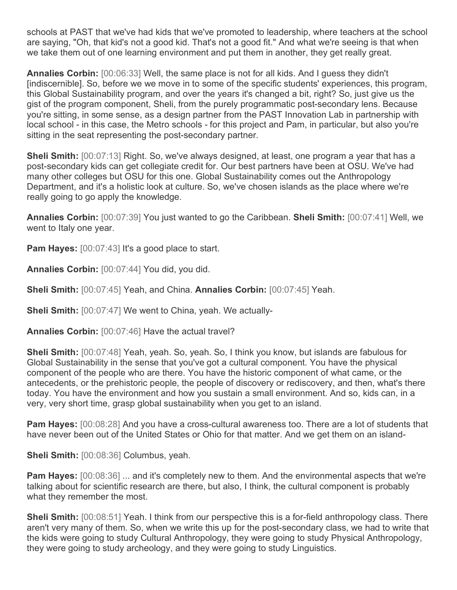schools at PAST that we've had kids that we've promoted to leadership, where teachers at the school are saying, "Oh, that kid's not a good kid. That's not a good fit." And what we're seeing is that when we take them out of one learning environment and put them in another, they get really great.

**Annalies Corbin:** [00:06:33] Well, the same place is not for all kids. And I guess they didn't [indiscernible]. So, before we we move in to some of the specific students' experiences, this program, this Global Sustainability program, and over the years it's changed a bit, right? So, just give us the gist of the program component, Sheli, from the purely programmatic post-secondary lens. Because you're sitting, in some sense, as a design partner from the PAST Innovation Lab in partnership with local school - in this case, the Metro schools - for this project and Pam, in particular, but also you're sitting in the seat representing the post-secondary partner.

**Sheli Smith:** [00:07:13] Right. So, we've always designed, at least, one program a year that has a post-secondary kids can get collegiate credit for. Our best partners have been at OSU. We've had many other colleges but OSU for this one. Global Sustainability comes out the Anthropology Department, and it's a holistic look at culture. So, we've chosen islands as the place where we're really going to go apply the knowledge.

**Annalies Corbin:** [00:07:39] You just wanted to go the Caribbean. **Sheli Smith:** [00:07:41] Well, we went to Italy one year.

**Pam Hayes:** [00:07:43] It's a good place to start.

**Annalies Corbin:** [00:07:44] You did, you did.

**Sheli Smith:** [00:07:45] Yeah, and China. **Annalies Corbin:** [00:07:45] Yeah.

**Sheli Smith:** [00:07:47] We went to China, yeah. We actually-

**Annalies Corbin:** [00:07:46] Have the actual travel?

**Sheli Smith:** [00:07:48] Yeah, yeah. So, yeah. So, I think you know, but islands are fabulous for Global Sustainability in the sense that you've got a cultural component. You have the physical component of the people who are there. You have the historic component of what came, or the antecedents, or the prehistoric people, the people of discovery or rediscovery, and then, what's there today. You have the environment and how you sustain a small environment. And so, kids can, in a very, very short time, grasp global sustainability when you get to an island.

**Pam Hayes:** [00:08:28] And you have a cross-cultural awareness too. There are a lot of students that have never been out of the United States or Ohio for that matter. And we get them on an island-

**Sheli Smith:** [00:08:36] Columbus, yeah.

**Pam Hayes:**  $[00:08:36]$  ... and it's completely new to them. And the environmental aspects that we're talking about for scientific research are there, but also, I think, the cultural component is probably what they remember the most.

**Sheli Smith:**  $[00:08:51]$  Yeah. I think from our perspective this is a for-field anthropology class. There aren't very many of them. So, when we write this up for the post-secondary class, we had to write that the kids were going to study Cultural Anthropology, they were going to study Physical Anthropology, they were going to study archeology, and they were going to study Linguistics.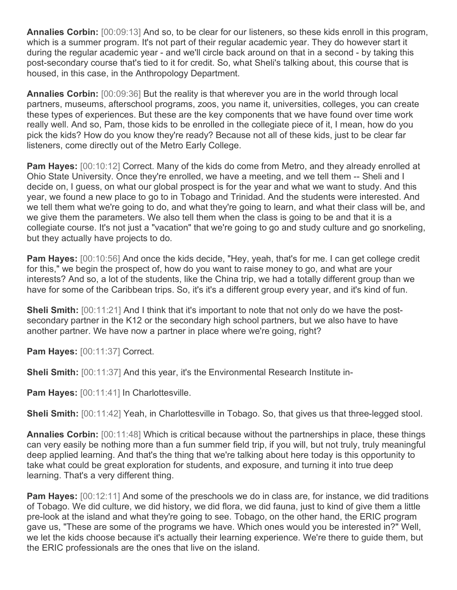**Annalies Corbin:** [00:09:13] And so, to be clear for our listeners, so these kids enroll in this program, which is a summer program. It's not part of their regular academic year. They do however start it during the regular academic year - and we'll circle back around on that in a second - by taking this post-secondary course that's tied to it for credit. So, what Sheli's talking about, this course that is housed, in this case, in the Anthropology Department.

**Annalies Corbin:** [00:09:36] But the reality is that wherever you are in the world through local partners, museums, afterschool programs, zoos, you name it, universities, colleges, you can create these types of experiences. But these are the key components that we have found over time work really well. And so, Pam, those kids to be enrolled in the collegiate piece of it, I mean, how do you pick the kids? How do you know they're ready? Because not all of these kids, just to be clear far listeners, come directly out of the Metro Early College.

**Pam Hayes:** [00:10:12] Correct. Many of the kids do come from Metro, and they already enrolled at Ohio State University. Once they're enrolled, we have a meeting, and we tell them -- Sheli and I decide on, I guess, on what our global prospect is for the year and what we want to study. And this year, we found a new place to go to in Tobago and Trinidad. And the students were interested. And we tell them what we're going to do, and what they're going to learn, and what their class will be, and we give them the parameters. We also tell them when the class is going to be and that it is a collegiate course. It's not just a "vacation" that we're going to go and study culture and go snorkeling, but they actually have projects to do.

**Pam Hayes:** [00:10:56] And once the kids decide, "Hey, yeah, that's for me. I can get college credit for this," we begin the prospect of, how do you want to raise money to go, and what are your interests? And so, a lot of the students, like the China trip, we had a totally different group than we have for some of the Caribbean trips. So, it's it's a different group every year, and it's kind of fun.

**Sheli Smith:** [00:11:21] And I think that it's important to note that not only do we have the postsecondary partner in the K12 or the secondary high school partners, but we also have to have another partner. We have now a partner in place where we're going, right?

**Pam Hayes:** [00:11:37] Correct.

**Sheli Smith:** [00:11:37] And this year, it's the Environmental Research Institute in-

**Pam Hayes:** [00:11:41] In Charlottesville.

**Sheli Smith:** [00:11:42] Yeah, in Charlottesville in Tobago. So, that gives us that three-legged stool.

**Annalies Corbin:** [00:11:48] Which is critical because without the partnerships in place, these things can very easily be nothing more than a fun summer field trip, if you will, but not truly, truly meaningful deep applied learning. And that's the thing that we're talking about here today is this opportunity to take what could be great exploration for students, and exposure, and turning it into true deep learning. That's a very different thing.

**Pam Hayes:** [00:12:11] And some of the preschools we do in class are, for instance, we did traditions of Tobago. We did culture, we did history, we did flora, we did fauna, just to kind of give them a little pre-look at the island and what they're going to see. Tobago, on the other hand, the ERIC program gave us, "These are some of the programs we have. Which ones would you be interested in?" Well, we let the kids choose because it's actually their learning experience. We're there to guide them, but the ERIC professionals are the ones that live on the island.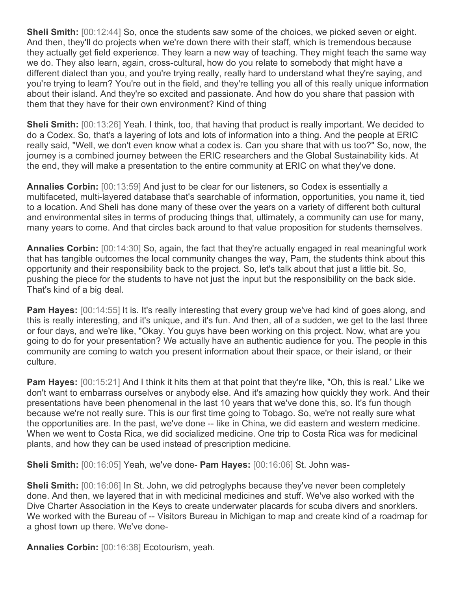**Sheli Smith:**  $[00:12:44]$  So, once the students saw some of the choices, we picked seven or eight. And then, they'll do projects when we're down there with their staff, which is tremendous because they actually get field experience. They learn a new way of teaching. They might teach the same way we do. They also learn, again, cross-cultural, how do you relate to somebody that might have a different dialect than you, and you're trying really, really hard to understand what they're saying, and you're trying to learn? You're out in the field, and they're telling you all of this really unique information about their island. And they're so excited and passionate. And how do you share that passion with them that they have for their own environment? Kind of thing

**Sheli Smith:** [00:13:26] Yeah. I think, too, that having that product is really important. We decided to do a Codex. So, that's a layering of lots and lots of information into a thing. And the people at ERIC really said, "Well, we don't even know what a codex is. Can you share that with us too?" So, now, the journey is a combined journey between the ERIC researchers and the Global Sustainability kids. At the end, they will make a presentation to the entire community at ERIC on what they've done.

**Annalies Corbin:** [00:13:59] And just to be clear for our listeners, so Codex is essentially a multifaceted, multi-layered database that's searchable of information, opportunities, you name it, tied to a location. And Sheli has done many of these over the years on a variety of different both cultural and environmental sites in terms of producing things that, ultimately, a community can use for many, many years to come. And that circles back around to that value proposition for students themselves.

**Annalies Corbin:** [00:14:30] So, again, the fact that they're actually engaged in real meaningful work that has tangible outcomes the local community changes the way, Pam, the students think about this opportunity and their responsibility back to the project. So, let's talk about that just a little bit. So, pushing the piece for the students to have not just the input but the responsibility on the back side. That's kind of a big deal.

**Pam Hayes:** [00:14:55] It is. It's really interesting that every group we've had kind of goes along, and this is really interesting, and it's unique, and it's fun. And then, all of a sudden, we get to the last three or four days, and we're like, "Okay. You guys have been working on this project. Now, what are you going to do for your presentation? We actually have an authentic audience for you. The people in this community are coming to watch you present information about their space, or their island, or their culture.

**Pam Hayes:** [00:15:21] And I think it hits them at that point that they're like, "Oh, this is real.' Like we don't want to embarrass ourselves or anybody else. And it's amazing how quickly they work. And their presentations have been phenomenal in the last 10 years that we've done this, so. It's fun though because we're not really sure. This is our first time going to Tobago. So, we're not really sure what the opportunities are. In the past, we've done -- like in China, we did eastern and western medicine. When we went to Costa Rica, we did socialized medicine. One trip to Costa Rica was for medicinal plants, and how they can be used instead of prescription medicine.

**Sheli Smith:** [00:16:05] Yeah, we've done- **Pam Hayes:** [00:16:06] St. John was-

**Sheli Smith:** [00:16:06] In St. John, we did petroglyphs because they've never been completely done. And then, we layered that in with medicinal medicines and stuff. We've also worked with the Dive Charter Association in the Keys to create underwater placards for scuba divers and snorklers. We worked with the Bureau of -- Visitors Bureau in Michigan to map and create kind of a roadmap for a ghost town up there. We've done-

**Annalies Corbin:** [00:16:38] Ecotourism, yeah.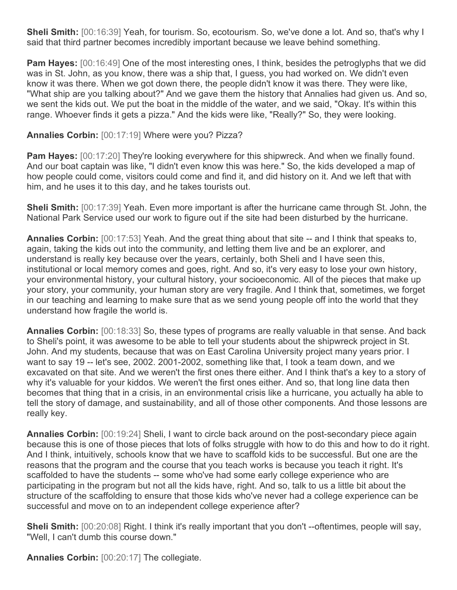**Sheli Smith:** [00:16:39] Yeah, for tourism. So, ecotourism. So, we've done a lot. And so, that's why I said that third partner becomes incredibly important because we leave behind something.

**Pam Hayes:**  $[00:16:49]$  One of the most interesting ones, I think, besides the petroglyphs that we did was in St. John, as you know, there was a ship that, I guess, you had worked on. We didn't even know it was there. When we got down there, the people didn't know it was there. They were like, "What ship are you talking about?" And we gave them the history that Annalies had given us. And so, we sent the kids out. We put the boat in the middle of the water, and we said, "Okay. It's within this range. Whoever finds it gets a pizza." And the kids were like, "Really?" So, they were looking.

## **Annalies Corbin:** [00:17:19] Where were you? Pizza?

**Pam Hayes:** [00:17:20] They're looking everywhere for this shipwreck. And when we finally found. And our boat captain was like, "I didn't even know this was here." So, the kids developed a map of how people could come, visitors could come and find it, and did history on it. And we left that with him, and he uses it to this day, and he takes tourists out.

**Sheli Smith:** [00:17:39] Yeah. Even more important is after the hurricane came through St. John, the National Park Service used our work to figure out if the site had been disturbed by the hurricane.

**Annalies Corbin:** [00:17:53] Yeah. And the great thing about that site -- and I think that speaks to, again, taking the kids out into the community, and letting them live and be an explorer, and understand is really key because over the years, certainly, both Sheli and I have seen this, institutional or local memory comes and goes, right. And so, it's very easy to lose your own history, your environmental history, your cultural history, your socioeconomic. All of the pieces that make up your story, your community, your human story are very fragile. And I think that, sometimes, we forget in our teaching and learning to make sure that as we send young people off into the world that they understand how fragile the world is.

**Annalies Corbin:** [00:18:33] So, these types of programs are really valuable in that sense. And back to Sheli's point, it was awesome to be able to tell your students about the shipwreck project in St. John. And my students, because that was on East Carolina University project many years prior. I want to say 19 -- let's see, 2002. 2001-2002, something like that, I took a team down, and we excavated on that site. And we weren't the first ones there either. And I think that's a key to a story of why it's valuable for your kiddos. We weren't the first ones either. And so, that long line data then becomes that thing that in a crisis, in an environmental crisis like a hurricane, you actually ha able to tell the story of damage, and sustainability, and all of those other components. And those lessons are really key.

**Annalies Corbin:** [00:19:24] Sheli, I want to circle back around on the post-secondary piece again because this is one of those pieces that lots of folks struggle with how to do this and how to do it right. And I think, intuitively, schools know that we have to scaffold kids to be successful. But one are the reasons that the program and the course that you teach works is because you teach it right. It's scaffolded to have the students -- some who've had some early college experience who are participating in the program but not all the kids have, right. And so, talk to us a little bit about the structure of the scaffolding to ensure that those kids who've never had a college experience can be successful and move on to an independent college experience after?

**Sheli Smith:** [00:20:08] Right. I think it's really important that you don't --oftentimes, people will say, "Well, I can't dumb this course down."

**Annalies Corbin:** [00:20:17] The collegiate.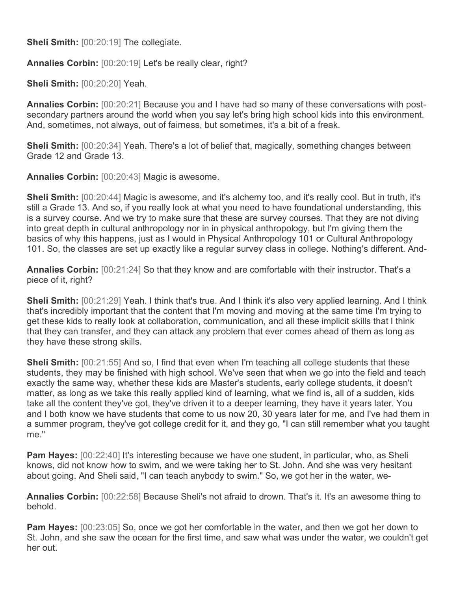**Sheli Smith:** [00:20:19] The collegiate.

**Annalies Corbin:** [00:20:19] Let's be really clear, right?

**Sheli Smith:** [00:20:20] Yeah.

**Annalies Corbin:** [00:20:21] Because you and I have had so many of these conversations with postsecondary partners around the world when you say let's bring high school kids into this environment. And, sometimes, not always, out of fairness, but sometimes, it's a bit of a freak.

**Sheli Smith:** [00:20:34] Yeah. There's a lot of belief that, magically, something changes between Grade 12 and Grade 13.

**Annalies Corbin:** [00:20:43] Magic is awesome.

**Sheli Smith:** [00:20:44] Magic is awesome, and it's alchemy too, and it's really cool. But in truth, it's still a Grade 13. And so, if you really look at what you need to have foundational understanding, this is a survey course. And we try to make sure that these are survey courses. That they are not diving into great depth in cultural anthropology nor in in physical anthropology, but I'm giving them the basics of why this happens, just as I would in Physical Anthropology 101 or Cultural Anthropology 101. So, the classes are set up exactly like a regular survey class in college. Nothing's different. And-

**Annalies Corbin:** [00:21:24] So that they know and are comfortable with their instructor. That's a piece of it, right?

**Sheli Smith:** [00:21:29] Yeah. I think that's true. And I think it's also very applied learning. And I think that's incredibly important that the content that I'm moving and moving at the same time I'm trying to get these kids to really look at collaboration, communication, and all these implicit skills that I think that they can transfer, and they can attack any problem that ever comes ahead of them as long as they have these strong skills.

**Sheli Smith:**  $[00:21:55]$  And so, I find that even when I'm teaching all college students that these students, they may be finished with high school. We've seen that when we go into the field and teach exactly the same way, whether these kids are Master's students, early college students, it doesn't matter, as long as we take this really applied kind of learning, what we find is, all of a sudden, kids take all the content they've got, they've driven it to a deeper learning, they have it years later. You and I both know we have students that come to us now 20, 30 years later for me, and I've had them in a summer program, they've got college credit for it, and they go, "I can still remember what you taught me."

**Pam Hayes:** [00:22:40] It's interesting because we have one student, in particular, who, as Sheli knows, did not know how to swim, and we were taking her to St. John. And she was very hesitant about going. And Sheli said, "I can teach anybody to swim." So, we got her in the water, we-

**Annalies Corbin:** [00:22:58] Because Sheli's not afraid to drown. That's it. It's an awesome thing to behold.

**Pam Hayes:** [00:23:05] So, once we got her comfortable in the water, and then we got her down to St. John, and she saw the ocean for the first time, and saw what was under the water, we couldn't get her out.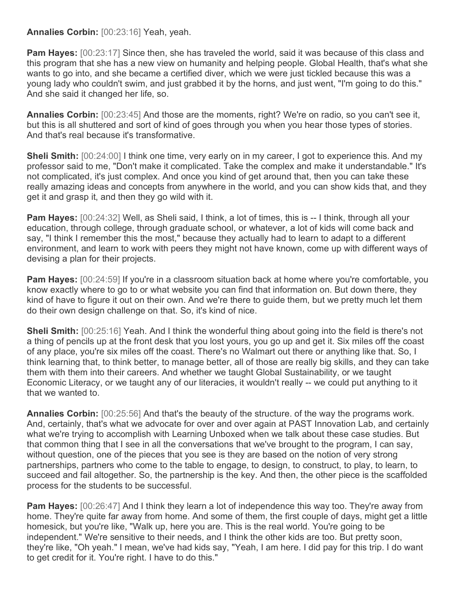**Annalies Corbin:** [00:23:16] Yeah, yeah.

**Pam Hayes:** [00:23:17] Since then, she has traveled the world, said it was because of this class and this program that she has a new view on humanity and helping people. Global Health, that's what she wants to go into, and she became a certified diver, which we were just tickled because this was a young lady who couldn't swim, and just grabbed it by the horns, and just went, "I'm going to do this." And she said it changed her life, so.

**Annalies Corbin:** [00:23:45] And those are the moments, right? We're on radio, so you can't see it, but this is all shuttered and sort of kind of goes through you when you hear those types of stories. And that's real because it's transformative.

**Sheli Smith:** [00:24:00] I think one time, very early on in my career, I got to experience this. And my professor said to me, "Don't make it complicated. Take the complex and make it understandable." It's not complicated, it's just complex. And once you kind of get around that, then you can take these really amazing ideas and concepts from anywhere in the world, and you can show kids that, and they get it and grasp it, and then they go wild with it.

**Pam Hayes:** [00:24:32] Well, as Sheli said, I think, a lot of times, this is -- I think, through all your education, through college, through graduate school, or whatever, a lot of kids will come back and say, "I think I remember this the most," because they actually had to learn to adapt to a different environment, and learn to work with peers they might not have known, come up with different ways of devising a plan for their projects.

**Pam Hayes:** [00:24:59] If you're in a classroom situation back at home where you're comfortable, you know exactly where to go to or what website you can find that information on. But down there, they kind of have to figure it out on their own. And we're there to guide them, but we pretty much let them do their own design challenge on that. So, it's kind of nice.

**Sheli Smith:** [00:25:16] Yeah. And I think the wonderful thing about going into the field is there's not a thing of pencils up at the front desk that you lost yours, you go up and get it. Six miles off the coast of any place, you're six miles off the coast. There's no Walmart out there or anything like that. So, I think learning that, to think better, to manage better, all of those are really big skills, and they can take them with them into their careers. And whether we taught Global Sustainability, or we taught Economic Literacy, or we taught any of our literacies, it wouldn't really -- we could put anything to it that we wanted to.

**Annalies Corbin:** [00:25:56] And that's the beauty of the structure. of the way the programs work. And, certainly, that's what we advocate for over and over again at PAST Innovation Lab, and certainly what we're trying to accomplish with Learning Unboxed when we talk about these case studies. But that common thing that I see in all the conversations that we've brought to the program, I can say, without question, one of the pieces that you see is they are based on the notion of very strong partnerships, partners who come to the table to engage, to design, to construct, to play, to learn, to succeed and fail altogether. So, the partnership is the key. And then, the other piece is the scaffolded process for the students to be successful.

**Pam Hayes:** [00:26:47] And I think they learn a lot of independence this way too. They're away from home. They're quite far away from home. And some of them, the first couple of days, might get a little homesick, but you're like, "Walk up, here you are. This is the real world. You're going to be independent." We're sensitive to their needs, and I think the other kids are too. But pretty soon, they're like, "Oh yeah." I mean, we've had kids say, "Yeah, I am here. I did pay for this trip. I do want to get credit for it. You're right. I have to do this."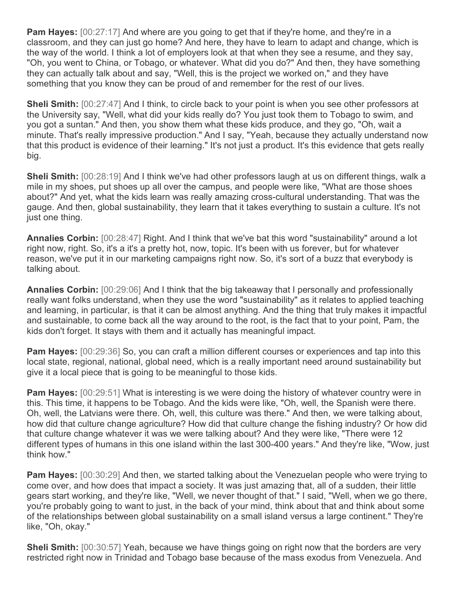**Pam Hayes:** [00:27:17] And where are you going to get that if they're home, and they're in a classroom, and they can just go home? And here, they have to learn to adapt and change, which is the way of the world. I think a lot of employers look at that when they see a resume, and they say, "Oh, you went to China, or Tobago, or whatever. What did you do?" And then, they have something they can actually talk about and say, "Well, this is the project we worked on," and they have something that you know they can be proud of and remember for the rest of our lives.

**Sheli Smith:**  $[00:27:47]$  And I think, to circle back to your point is when you see other professors at the University say, "Well, what did your kids really do? You just took them to Tobago to swim, and you got a suntan." And then, you show them what these kids produce, and they go, "Oh, wait a minute. That's really impressive production." And I say, "Yeah, because they actually understand now that this product is evidence of their learning." It's not just a product. It's this evidence that gets really big.

**Sheli Smith:** [00:28:19] And I think we've had other professors laugh at us on different things, walk a mile in my shoes, put shoes up all over the campus, and people were like, "What are those shoes about?" And yet, what the kids learn was really amazing cross-cultural understanding. That was the gauge. And then, global sustainability, they learn that it takes everything to sustain a culture. It's not just one thing.

**Annalies Corbin:** [00:28:47] Right. And I think that we've bat this word "sustainability" around a lot right now, right. So, it's a it's a pretty hot, now, topic. It's been with us forever, but for whatever reason, we've put it in our marketing campaigns right now. So, it's sort of a buzz that everybody is talking about.

**Annalies Corbin:** [00:29:06] And I think that the big takeaway that I personally and professionally really want folks understand, when they use the word "sustainability" as it relates to applied teaching and learning, in particular, is that it can be almost anything. And the thing that truly makes it impactful and sustainable, to come back all the way around to the root, is the fact that to your point, Pam, the kids don't forget. It stays with them and it actually has meaningful impact.

**Pam Hayes:** [00:29:36] So, you can craft a million different courses or experiences and tap into this local state, regional, national, global need, which is a really important need around sustainability but give it a local piece that is going to be meaningful to those kids.

**Pam Hayes:** [00:29:51] What is interesting is we were doing the history of whatever country were in this. This time, it happens to be Tobago. And the kids were like, "Oh, well, the Spanish were there. Oh, well, the Latvians were there. Oh, well, this culture was there." And then, we were talking about, how did that culture change agriculture? How did that culture change the fishing industry? Or how did that culture change whatever it was we were talking about? And they were like, "There were 12 different types of humans in this one island within the last 300-400 years." And they're like, "Wow, just think how."

**Pam Hayes:** [00:30:29] And then, we started talking about the Venezuelan people who were trying to come over, and how does that impact a society. It was just amazing that, all of a sudden, their little gears start working, and they're like, "Well, we never thought of that." I said, "Well, when we go there, you're probably going to want to just, in the back of your mind, think about that and think about some of the relationships between global sustainability on a small island versus a large continent." They're like, "Oh, okay."

**Sheli Smith:** [00:30:57] Yeah, because we have things going on right now that the borders are very restricted right now in Trinidad and Tobago base because of the mass exodus from Venezuela. And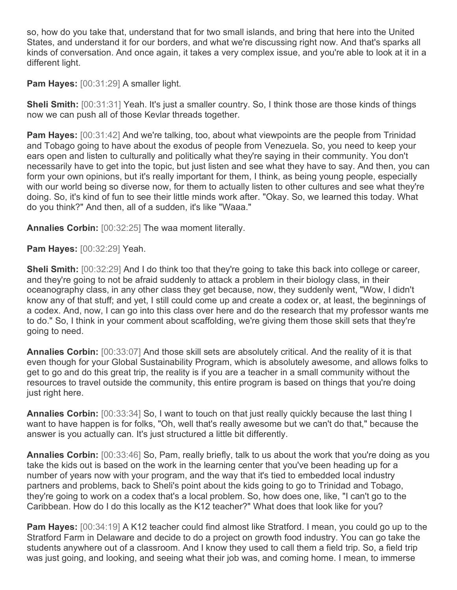so, how do you take that, understand that for two small islands, and bring that here into the United States, and understand it for our borders, and what we're discussing right now. And that's sparks all kinds of conversation. And once again, it takes a very complex issue, and you're able to look at it in a different light.

**Pam Hayes:** [00:31:29] A smaller light.

**Sheli Smith:** [00:31:31] Yeah. It's just a smaller country. So, I think those are those kinds of things now we can push all of those Kevlar threads together.

**Pam Hayes:** [00:31:42] And we're talking, too, about what viewpoints are the people from Trinidad and Tobago going to have about the exodus of people from Venezuela. So, you need to keep your ears open and listen to culturally and politically what they're saying in their community. You don't necessarily have to get into the topic, but just listen and see what they have to say. And then, you can form your own opinions, but it's really important for them, I think, as being young people, especially with our world being so diverse now, for them to actually listen to other cultures and see what they're doing. So, it's kind of fun to see their little minds work after. "Okay. So, we learned this today. What do you think?" And then, all of a sudden, it's like "Waaa."

**Annalies Corbin:** [00:32:25] The waa moment literally.

**Pam Hayes:** [00:32:29] Yeah.

**Sheli Smith:** [00:32:29] And I do think too that they're going to take this back into college or career, and they're going to not be afraid suddenly to attack a problem in their biology class, in their oceanography class, in any other class they get because, now, they suddenly went, "Wow, I didn't know any of that stuff; and yet, I still could come up and create a codex or, at least, the beginnings of a codex. And, now, I can go into this class over here and do the research that my professor wants me to do." So, I think in your comment about scaffolding, we're giving them those skill sets that they're going to need.

**Annalies Corbin:** [00:33:07] And those skill sets are absolutely critical. And the reality of it is that even though for your Global Sustainability Program, which is absolutely awesome, and allows folks to get to go and do this great trip, the reality is if you are a teacher in a small community without the resources to travel outside the community, this entire program is based on things that you're doing just right here.

**Annalies Corbin:** [00:33:34] So, I want to touch on that just really quickly because the last thing I want to have happen is for folks, "Oh, well that's really awesome but we can't do that," because the answer is you actually can. It's just structured a little bit differently.

**Annalies Corbin:** [00:33:46] So, Pam, really briefly, talk to us about the work that you're doing as you take the kids out is based on the work in the learning center that you've been heading up for a number of years now with your program, and the way that it's tied to embedded local industry partners and problems, back to Sheli's point about the kids going to go to Trinidad and Tobago, they're going to work on a codex that's a local problem. So, how does one, like, "I can't go to the Caribbean. How do I do this locally as the K12 teacher?" What does that look like for you?

**Pam Hayes:** [00:34:19] A K12 teacher could find almost like Stratford. I mean, you could go up to the Stratford Farm in Delaware and decide to do a project on growth food industry. You can go take the students anywhere out of a classroom. And I know they used to call them a field trip. So, a field trip was just going, and looking, and seeing what their job was, and coming home. I mean, to immerse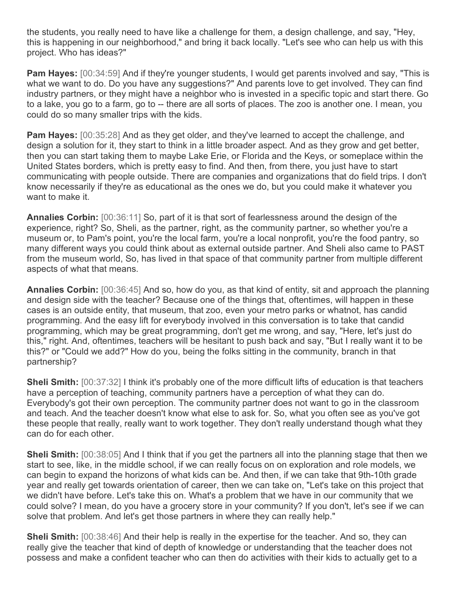the students, you really need to have like a challenge for them, a design challenge, and say, "Hey, this is happening in our neighborhood," and bring it back locally. "Let's see who can help us with this project. Who has ideas?"

**Pam Hayes:** [00:34:59] And if they're younger students, I would get parents involved and say, "This is what we want to do. Do you have any suggestions?" And parents love to get involved. They can find industry partners, or they might have a neighbor who is invested in a specific topic and start there. Go to a lake, you go to a farm, go to -- there are all sorts of places. The zoo is another one. I mean, you could do so many smaller trips with the kids.

**Pam Hayes:** [00:35:28] And as they get older, and they've learned to accept the challenge, and design a solution for it, they start to think in a little broader aspect. And as they grow and get better, then you can start taking them to maybe Lake Erie, or Florida and the Keys, or someplace within the United States borders, which is pretty easy to find. And then, from there, you just have to start communicating with people outside. There are companies and organizations that do field trips. I don't know necessarily if they're as educational as the ones we do, but you could make it whatever you want to make it.

**Annalies Corbin:** [00:36:11] So, part of it is that sort of fearlessness around the design of the experience, right? So, Sheli, as the partner, right, as the community partner, so whether you're a museum or, to Pam's point, you're the local farm, you're a local nonprofit, you're the food pantry, so many different ways you could think about as external outside partner. And Sheli also came to PAST from the museum world, So, has lived in that space of that community partner from multiple different aspects of what that means.

**Annalies Corbin:** [00:36:45] And so, how do you, as that kind of entity, sit and approach the planning and design side with the teacher? Because one of the things that, oftentimes, will happen in these cases is an outside entity, that museum, that zoo, even your metro parks or whatnot, has candid programming. And the easy lift for everybody involved in this conversation is to take that candid programming, which may be great programming, don't get me wrong, and say, "Here, let's just do this," right. And, oftentimes, teachers will be hesitant to push back and say, "But I really want it to be this?" or "Could we add?" How do you, being the folks sitting in the community, branch in that partnership?

**Sheli Smith:** [00:37:32] I think it's probably one of the more difficult lifts of education is that teachers have a perception of teaching, community partners have a perception of what they can do. Everybody's got their own perception. The community partner does not want to go in the classroom and teach. And the teacher doesn't know what else to ask for. So, what you often see as you've got these people that really, really want to work together. They don't really understand though what they can do for each other.

**Sheli Smith:** [00:38:05] And I think that if you get the partners all into the planning stage that then we start to see, like, in the middle school, if we can really focus on on exploration and role models, we can begin to expand the horizons of what kids can be. And then, if we can take that 9th-10th grade year and really get towards orientation of career, then we can take on, "Let's take on this project that we didn't have before. Let's take this on. What's a problem that we have in our community that we could solve? I mean, do you have a grocery store in your community? If you don't, let's see if we can solve that problem. And let's get those partners in where they can really help."

**Sheli Smith:** [00:38:46] And their help is really in the expertise for the teacher. And so, they can really give the teacher that kind of depth of knowledge or understanding that the teacher does not possess and make a confident teacher who can then do activities with their kids to actually get to a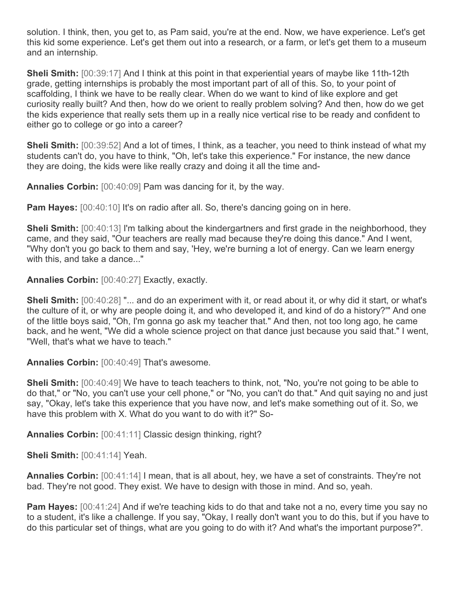solution. I think, then, you get to, as Pam said, you're at the end. Now, we have experience. Let's get this kid some experience. Let's get them out into a research, or a farm, or let's get them to a museum and an internship.

**Sheli Smith:** [00:39:17] And I think at this point in that experiential years of maybe like 11th-12th grade, getting internships is probably the most important part of all of this. So, to your point of scaffolding, I think we have to be really clear. When do we want to kind of like explore and get curiosity really built? And then, how do we orient to really problem solving? And then, how do we get the kids experience that really sets them up in a really nice vertical rise to be ready and confident to either go to college or go into a career?

**Sheli Smith:** [00:39:52] And a lot of times, I think, as a teacher, you need to think instead of what my students can't do, you have to think, "Oh, let's take this experience." For instance, the new dance they are doing, the kids were like really crazy and doing it all the time and-

**Annalies Corbin:** [00:40:09] Pam was dancing for it, by the way.

**Pam Hayes:** [00:40:10] It's on radio after all. So, there's dancing going on in here.

**Sheli Smith:**  $[00:40:13]$  I'm talking about the kindergartners and first grade in the neighborhood, they came, and they said, "Our teachers are really mad because they're doing this dance." And I went, "Why don't you go back to them and say, 'Hey, we're burning a lot of energy. Can we learn energy with this, and take a dance..."

**Annalies Corbin:** [00:40:27] Exactly, exactly.

**Sheli Smith:** [00:40:28] "... and do an experiment with it, or read about it, or why did it start, or what's the culture of it, or why are people doing it, and who developed it, and kind of do a history?'" And one of the little boys said, "Oh, I'm gonna go ask my teacher that." And then, not too long ago, he came back, and he went, "We did a whole science project on that dance just because you said that." I went, "Well, that's what we have to teach."

**Annalies Corbin:** [00:40:49] That's awesome.

**Sheli Smith:** [00:40:49] We have to teach teachers to think, not, "No, you're not going to be able to do that," or "No, you can't use your cell phone," or "No, you can't do that." And quit saying no and just say, "Okay, let's take this experience that you have now, and let's make something out of it. So, we have this problem with X. What do you want to do with it?" So-

**Annalies Corbin:** [00:41:11] Classic design thinking, right?

**Sheli Smith:** [00:41:14] Yeah.

**Annalies Corbin:** [00:41:14] I mean, that is all about, hey, we have a set of constraints. They're not bad. They're not good. They exist. We have to design with those in mind. And so, yeah.

**Pam Hayes:** [00:41:24] And if we're teaching kids to do that and take not a no, every time you say no to a student, it's like a challenge. If you say, "Okay, I really don't want you to do this, but if you have to do this particular set of things, what are you going to do with it? And what's the important purpose?".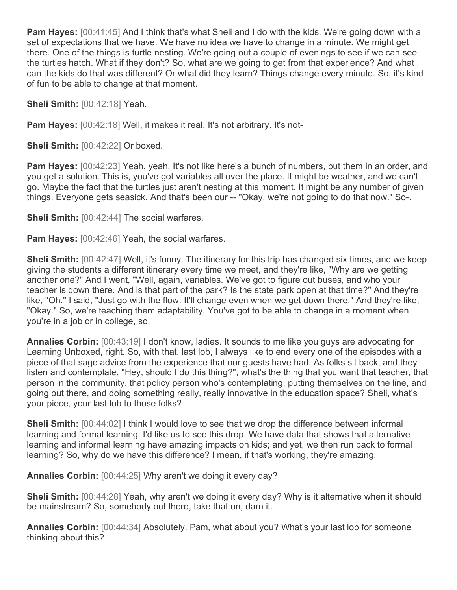**Pam Hayes:** [00:41:45] And I think that's what Sheli and I do with the kids. We're going down with a set of expectations that we have. We have no idea we have to change in a minute. We might get there. One of the things is turtle nesting. We're going out a couple of evenings to see if we can see the turtles hatch. What if they don't? So, what are we going to get from that experience? And what can the kids do that was different? Or what did they learn? Things change every minute. So, it's kind of fun to be able to change at that moment.

**Sheli Smith:** [00:42:18] Yeah.

**Pam Hayes:** [00:42:18] Well, it makes it real. It's not arbitrary. It's not-

**Sheli Smith:** [00:42:22] Or boxed.

**Pam Hayes:** [00:42:23] Yeah, yeah. It's not like here's a bunch of numbers, put them in an order, and you get a solution. This is, you've got variables all over the place. It might be weather, and we can't go. Maybe the fact that the turtles just aren't nesting at this moment. It might be any number of given things. Everyone gets seasick. And that's been our -- "Okay, we're not going to do that now." So-.

**Sheli Smith:** [00:42:44] The social warfares.

**Pam Hayes:** [00:42:46] Yeah, the social warfares.

**Sheli Smith:**  $[00:42:47]$  Well, it's funny. The itinerary for this trip has changed six times, and we keep giving the students a different itinerary every time we meet, and they're like, "Why are we getting another one?" And I went, "Well, again, variables. We've got to figure out buses, and who your teacher is down there. And is that part of the park? Is the state park open at that time?" And they're like, "Oh." I said, "Just go with the flow. It'll change even when we get down there." And they're like, "Okay." So, we're teaching them adaptability. You've got to be able to change in a moment when you're in a job or in college, so.

**Annalies Corbin:** [00:43:19] I don't know, ladies. It sounds to me like you guys are advocating for Learning Unboxed, right. So, with that, last lob, I always like to end every one of the episodes with a piece of that sage advice from the experience that our guests have had. As folks sit back, and they listen and contemplate, "Hey, should I do this thing?", what's the thing that you want that teacher, that person in the community, that policy person who's contemplating, putting themselves on the line, and going out there, and doing something really, really innovative in the education space? Sheli, what's your piece, your last lob to those folks?

**Sheli Smith:** [00:44:02] I think I would love to see that we drop the difference between informal learning and formal learning. I'd like us to see this drop. We have data that shows that alternative learning and informal learning have amazing impacts on kids; and yet, we then run back to formal learning? So, why do we have this difference? I mean, if that's working, they're amazing.

**Annalies Corbin:** [00:44:25] Why aren't we doing it every day?

**Sheli Smith:** [00:44:28] Yeah, why aren't we doing it every day? Why is it alternative when it should be mainstream? So, somebody out there, take that on, darn it.

**Annalies Corbin:** [00:44:34] Absolutely. Pam, what about you? What's your last lob for someone thinking about this?